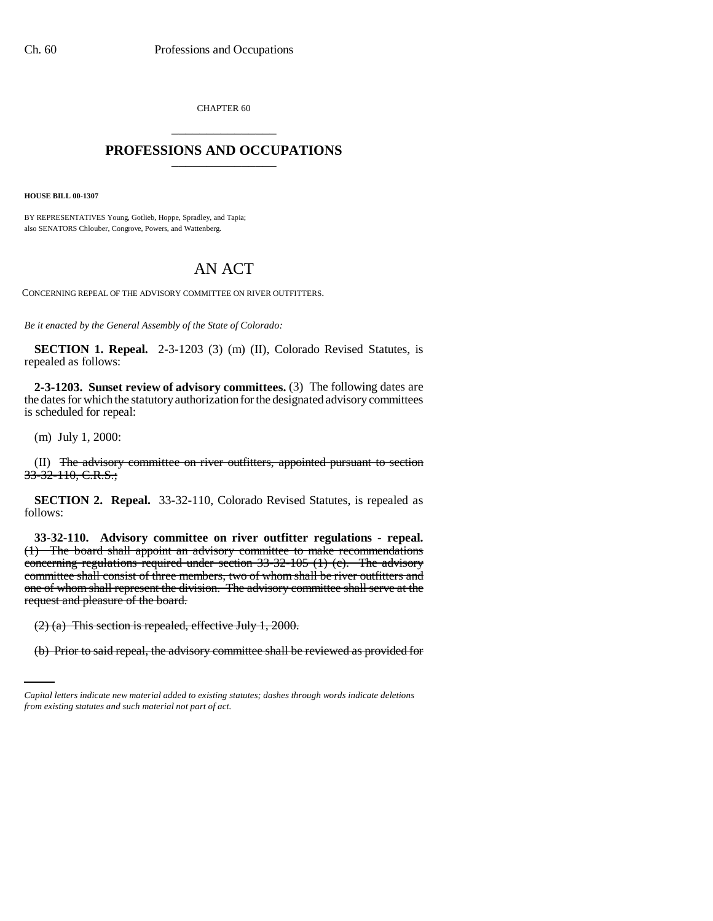CHAPTER 60 \_\_\_\_\_\_\_\_\_\_\_\_\_\_\_

## **PROFESSIONS AND OCCUPATIONS** \_\_\_\_\_\_\_\_\_\_\_\_\_\_\_

**HOUSE BILL 00-1307** 

BY REPRESENTATIVES Young, Gotlieb, Hoppe, Spradley, and Tapia; also SENATORS Chlouber, Congrove, Powers, and Wattenberg.

## AN ACT

CONCERNING REPEAL OF THE ADVISORY COMMITTEE ON RIVER OUTFITTERS.

*Be it enacted by the General Assembly of the State of Colorado:*

**SECTION 1. Repeal.** 2-3-1203 (3) (m) (II), Colorado Revised Statutes, is repealed as follows:

**2-3-1203. Sunset review of advisory committees.** (3) The following dates are the dates for which the statutory authorization for the designated advisory committees is scheduled for repeal:

(m) July 1, 2000:

(II) The advisory committee on river outfitters, appointed pursuant to section 33-32-110, C.R.S.;

**SECTION 2. Repeal.** 33-32-110, Colorado Revised Statutes, is repealed as follows:

**33-32-110. Advisory committee on river outfitter regulations - repeal.** (1) The board shall appoint an advisory committee to make recommendations concerning regulations required under section 33-32-105 (1) (c). The advisory committee shall consist of three members, two of whom shall be river outfitters and one of whom shall represent the division. The advisory committee shall serve at the request and pleasure of the board.

(2) (a) This section is repealed, effective July 1, 2000.

(b) Prior to said repeal, the advisory committee shall be reviewed as provided for

*Capital letters indicate new material added to existing statutes; dashes through words indicate deletions from existing statutes and such material not part of act.*